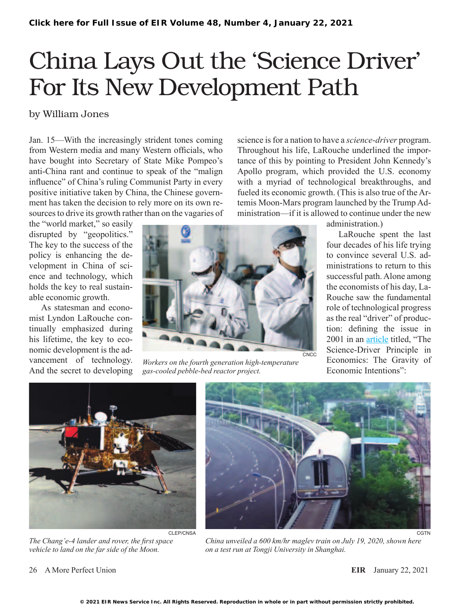# China Lays Out the 'Science Driver' For Its New Development Path

### by William Jones

Jan. 15—With the increasingly strident tones coming from Western media and many Western officials, who have bought into Secretary of State Mike Pompeo's anti-China rant and continue to speak of the "malign influence" of China's ruling Communist Party in every positive initiative taken by China, the Chinese government has taken the decision to rely more on its own resources to drive its growth rather than on the vagaries of

the "world market," so easily disrupted by "geopolitics." The key to the success of the policy is enhancing the development in China of science and technology, which holds the key to real sustainable economic growth.

As statesman and economist Lyndon LaRouche continually emphasized during his lifetime, the key to economic development is the advancement of technology. And the secret to developing



*Workers on the fourth generation high-temperature gas-cooled pebble-bed reactor project.*

science is for a nation to have a *science-driver* program. Throughout his life, LaRouche underlined the importance of this by pointing to President John Kennedy's Apollo program, which provided the U.S. economy with a myriad of technological breakthroughs, and fueled its economic growth. (This is also true of the Artemis Moon-Mars program launched by the Trump Administration—if it is allowed to continue under the new

administration.)

LaRouche spent the last four decades of his life trying to convince several U.S. administrations to return to this successful path. Alone among the economists of his day, La-Rouche saw the fundamental role of technological progress as the real "driver" of production: defining the issue in 2001 in an [article](https://larouchepub.com/lar/2001/2813sciencedriver.html) titled, "The Science-Driver Principle in Economics: The Gravity of Economic Intentions":



*The Chang'e-4 lander and rover, the first space vehicle to land on the far side of the Moon.*



*China unveiled a 600 km/hr maglev train on July 19, 2020, shown here on a test run at Tongji University in Shanghai.*

26 A More Perfect Union **EIR** January 22, 2021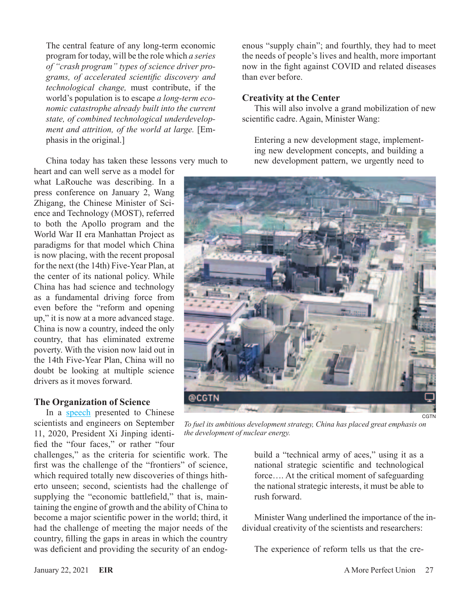The central feature of any long-term economic program for today, will be the role which *a series of "crash program" types of science driver programs, of accelerated scientific discovery and technological change,* must contribute, if the world's population is to escape *a long-term economic catastrophe already built into the current state, of combined technological underdevelopment and attrition, of the world at large.* [Emphasis in the original.]

China today has taken these lessons very much to

heart and can well serve as a model for what LaRouche was describing. In a press conference on January 2, Wang Zhigang, the Chinese Minister of Science and Technology (MOST), referred to both the Apollo program and the World War II era Manhattan Project as paradigms for that model which China is now placing, with the recent proposal for the next (the 14th) Five-Year Plan, at the center of its national policy. While China has had science and technology as a fundamental driving force from even before the "reform and opening up," it is now at a more advanced stage. China is now a country, indeed the only country, that has eliminated extreme poverty. With the vision now laid out in the 14th Five-Year Plan, China will no doubt be looking at multiple science drivers as it moves forward.

#### **The Organization of Science**

In a [speech](https://cset.georgetown.edu/research/xi-jinping-speech-at-the-symposium-of-scientists/) presented to Chinese scientists and engineers on September 11, 2020, President Xi Jinping identified the "four faces," or rather "four

challenges," as the criteria for scientific work. The first was the challenge of the "frontiers" of science, which required totally new discoveries of things hitherto unseen; second, scientists had the challenge of supplying the "economic battlefield," that is, maintaining the engine of growth and the ability of China to become a major scientific power in the world; third, it had the challenge of meeting the major needs of the country, filling the gaps in areas in which the country was deficient and providing the security of an endogenous "supply chain"; and fourthly, they had to meet the needs of people's lives and health, more important now in the fight against COVID and related diseases than ever before.

#### **Creativity at the Center**

This will also involve a grand mobilization of new scientific cadre. Again, Minister Wang:

Entering a new development stage, implementing new development concepts, and building a new development pattern, we urgently need to



*To fuel its ambitious development strategy, China has placed great emphasis on the development of nuclear energy.*

build a "technical army of aces," using it as a national strategic scientific and technological force…. At the critical moment of safeguarding the national strategic interests, it must be able to rush forward.

Minister Wang underlined the importance of the individual creativity of the scientists and researchers:

The experience of reform tells us that the cre-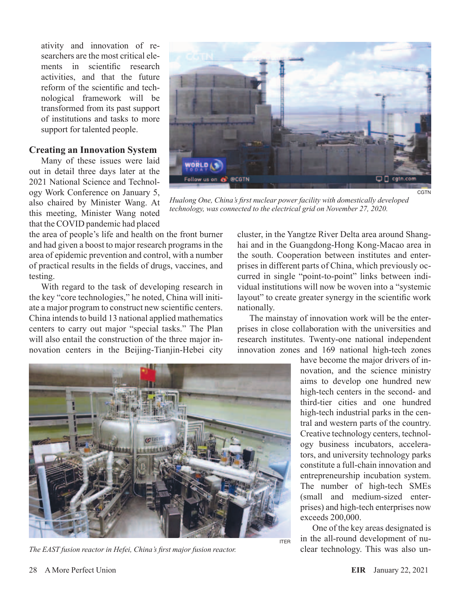ativity and innovation of researchers are the most critical elements in scientific research activities, and that the future reform of the scientific and technological framework will be transformed from its past support of institutions and tasks to more support for talented people.

#### **Creating an Innovation System**

Many of these issues were laid out in detail three days later at the 2021 National Science and Technology Work Conference on January 5, also chaired by Minister Wang. At this meeting, Minister Wang noted that the COVID pandemic had placed

the area of people's life and health on the front burner and had given a boost to major research programs in the area of epidemic prevention and control, with a number of practical results in the fields of drugs, vaccines, and testing.

With regard to the task of developing research in the key "core technologies," he noted, China will initiate a major program to construct new scientific centers. China intends to build 13 national applied mathematics centers to carry out major "special tasks." The Plan will also entail the construction of the three major innovation centers in the Beijing-Tianjin-Hebei city



*The EAST fusion reactor in Hefei, China's first major fusion reactor.*



**CGTN** 

*Hualong One, China's first nuclear power facility with domestically developed technology, was connected to the electrical grid on November 27, 2020.*

cluster, in the Yangtze River Delta area around Shanghai and in the Guangdong-Hong Kong-Macao area in the south. Cooperation between institutes and enterprises in different parts of China, which previously occurred in single "point-to-point" links between individual institutions will now be woven into a "systemic layout" to create greater synergy in the scientific work nationally.

The mainstay of innovation work will be the enterprises in close collaboration with the universities and research institutes. Twenty-one national independent innovation zones and 169 national high-tech zones

> have become the major drivers of innovation, and the science ministry aims to develop one hundred new high-tech centers in the second- and third-tier cities and one hundred high-tech industrial parks in the central and western parts of the country. Creative technology centers, technology business incubators, accelerators, and university technology parks constitute a full-chain innovation and entrepreneurship incubation system. The number of high-tech SMEs (small and medium-sized enterprises) and high-tech enterprises now exceeds 200,000.

> One of the key areas designated is in the all-round development of nuclear technology. This was also un-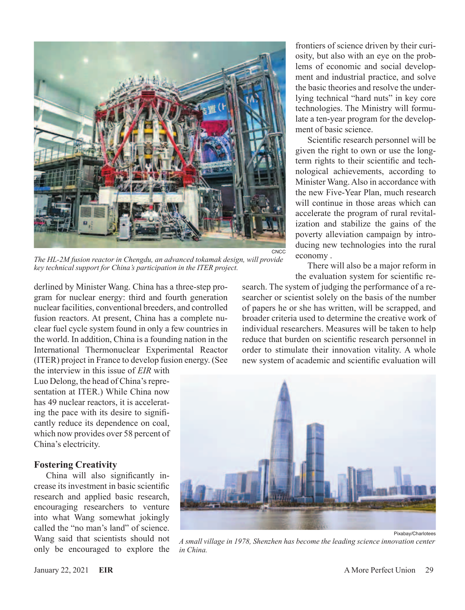

*The HL-2M fusion reactor in Chengdu, an advanced tokamak design, will provide key technical support for China's participation in the ITER project.*

derlined by Minister Wang. China has a three-step program for nuclear energy: third and fourth generation nuclear facilities, conventional breeders, and controlled fusion reactors. At present, China has a complete nuclear fuel cycle system found in only a few countries in the world. In addition, China is a founding nation in the International Thermonuclear Experimental Reactor (ITER) project in France to develop fusion energy. (See

the interview in this issue of *EIR* with Luo Delong, the head of China's representation at ITER.) While China now has 49 nuclear reactors, it is accelerating the pace with its desire to significantly reduce its dependence on coal, which now provides over 58 percent of China's electricity.

#### **Fostering Creativity**

China will also significantly increase its investment in basic scientific research and applied basic research, encouraging researchers to venture into what Wang somewhat jokingly called the "no man's land" of science. Wang said that scientists should not only be encouraged to explore the

frontiers of science driven by their curiosity, but also with an eye on the problems of economic and social development and industrial practice, and solve the basic theories and resolve the underlying technical "hard nuts" in key core technologies. The Ministry will formulate a ten-year program for the development of basic science.

Scientific research personnel will be given the right to own or use the longterm rights to their scientific and technological achievements, according to Minister Wang. Also in accordance with the new Five-Year Plan, much research will continue in those areas which can accelerate the program of rural revitalization and stabilize the gains of the poverty alleviation campaign by introducing new technologies into the rural economy .

There will also be a major reform in the evaluation system for scientific re-

search. The system of judging the performance of a researcher or scientist solely on the basis of the number of papers he or she has written, will be scrapped, and broader criteria used to determine the creative work of individual researchers. Measures will be taken to help reduce that burden on scientific research personnel in order to stimulate their innovation vitality. A whole new system of academic and scientific evaluation will



*A small village in 1978, Shenzhen has become the leading science innovation center in China.*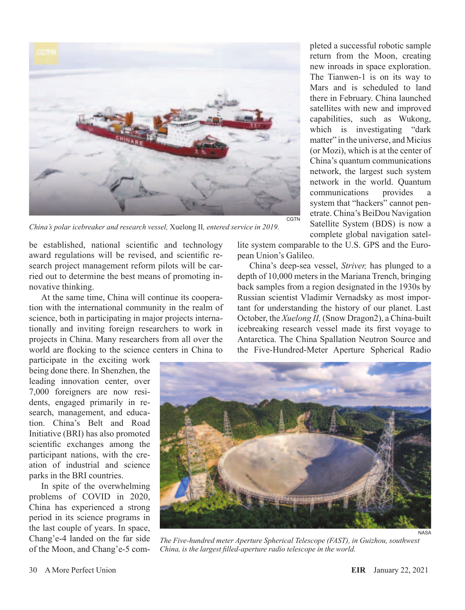

*China's polar icebreaker and research vessel,* Xuelong II*, entered service in 2019.*

be established, national scientific and technology award regulations will be revised, and scientific research project management reform pilots will be carried out to determine the best means of promoting innovative thinking.

At the same time, China will continue its cooperation with the international community in the realm of science, both in participating in major projects internationally and inviting foreign researchers to work in projects in China. Many researchers from all over the world are flocking to the science centers in China to

participate in the exciting work being done there. In Shenzhen, the leading innovation center, over 7,000 foreigners are now residents, engaged primarily in research, management, and education. China's Belt and Road Initiative (BRI) has also promoted scientific exchanges among the participant nations, with the creation of industrial and science parks in the BRI countries.

In spite of the overwhelming problems of COVID in 2020, China has experienced a strong period in its science programs in the last couple of years. In space, Chang'e-4 landed on the far side of the Moon, and Chang'e-5 com-

pleted a successful robotic sample return from the Moon, creating new inroads in space exploration. The Tianwen-1 is on its way to Mars and is scheduled to land there in February. China launched satellites with new and improved capabilities, such as Wukong, which is investigating "dark" matter" in the universe, and Micius (or Mozi), which is at the center of China's quantum communications network, the largest such system network in the world. Quantum communications provides a system that "hackers" cannot penetrate. China's BeiDou Navigation Satellite System (BDS) is now a complete global navigation satel-

lite system comparable to the U.S. GPS and the European Union's Galileo.

China's deep-sea vessel, *Striver,* has plunged to a depth of 10,000 meters in the Mariana Trench, bringing back samples from a region designated in the 1930s by Russian scientist Vladimir Vernadsky as most important for understanding the history of our planet. Last October, the *Xuelong II,* (Snow Dragon2), a China-built icebreaking research vessel made its first voyage to Antarctica. The China Spallation Neutron Source and the Five-Hundred-Meter Aperture Spherical Radio



*The Five-hundred meter Aperture Spherical Telescope (FAST), in Guizhou, southwest China, is the largest filled-aperture radio telescope in the world.*